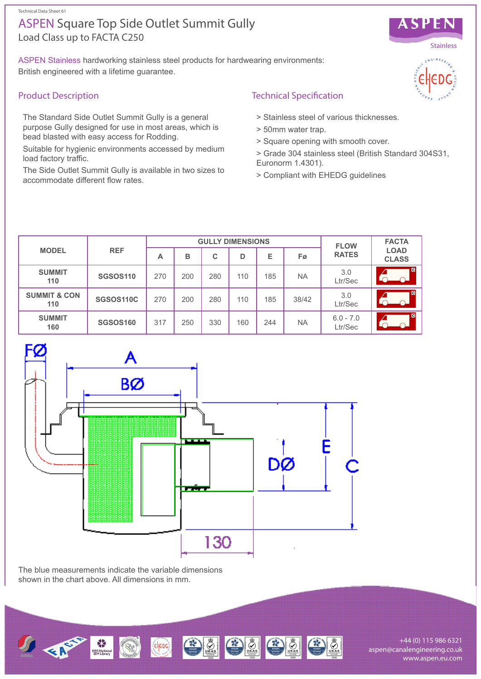Technical Data Sheet 61

# Load Class up to FACTA C250 ASPEN Square Top Side Outlet Summit Gully

ASPEN Stainless hardworking stainless steel products for hardwearing environments: British engineered with a lifetime guarantee.

## Product Description

The Standard Side Outlet Summit Gully is a general purpose Gully designed for use in most areas, which is bead blasted with easy access for Rodding.

Suitable for hygienic environments accessed by medium load factory traffic.

The Side Outlet Summit Gully is available in two sizes to accommodate different flow rates.

# Technical Specification

- > Stainless steel of various thicknesses.
- > 50mm water trap.
- > Square opening with smooth cover.
- > Grade 304 stainless steel (British Standard 304S31, Euronorm 1.4301).
- > Compliant with EHEDG guidelines

| <b>MODEL</b>                   | <b>REF</b>      | <b>GULLY DIMENSIONS</b> |     |     |     |     |           | <b>FLOW</b>            | <b>FACTA</b>                |
|--------------------------------|-----------------|-------------------------|-----|-----|-----|-----|-----------|------------------------|-----------------------------|
|                                |                 | А                       | в   | C   | D   | Е   | Fø        | <b>RATES</b>           | <b>LOAD</b><br><b>CLASS</b> |
| <b>SUMMIT</b><br>110           | <b>SGSOS110</b> | 270                     | 200 | 280 | 110 | 185 | <b>NA</b> | 3.0<br>Ltr/Sec         | $\overline{c}$              |
| <b>SUMMIT &amp; CON</b><br>110 | SGSOS110C       | 270                     | 200 | 280 | 110 | 185 | 38/42     | 3.0<br>Ltr/Sec         | $\blacksquare$              |
| <b>SUMMIT</b><br>160           | <b>SGSOS160</b> | 317                     | 250 | 330 | 160 | 244 | <b>NA</b> | $6.0 - 7.0$<br>Ltr/Sec | <b>C</b>                    |



The blue measurements indicate the variable dimensions shown in the chart above. All dimensions in mm.



+44 (0) 115 986 6321 aspen@canalengineering.co.uk www.aspen.eu.com